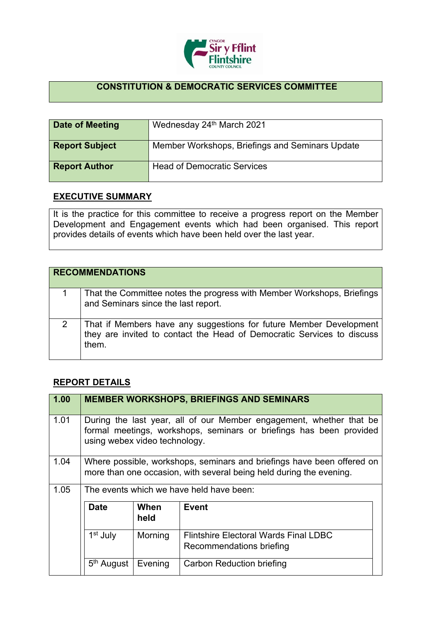

## **CONSTITUTION & DEMOCRATIC SERVICES COMMITTEE**

| Date of Meeting       | Wednesday 24th March 2021                       |
|-----------------------|-------------------------------------------------|
| <b>Report Subject</b> | Member Workshops, Briefings and Seminars Update |
| <b>Report Author</b>  | <b>Head of Democratic Services</b>              |

## **EXECUTIVE SUMMARY**

It is the practice for this committee to receive a progress report on the Member Development and Engagement events which had been organised. This report provides details of events which have been held over the last year.

|   | <b>RECOMMENDATIONS</b>                                                                                                                                |
|---|-------------------------------------------------------------------------------------------------------------------------------------------------------|
|   | That the Committee notes the progress with Member Workshops, Briefings<br>and Seminars since the last report.                                         |
| 2 | That if Members have any suggestions for future Member Development<br>they are invited to contact the Head of Democratic Services to discuss<br>them. |

## **REPORT DETAILS**

| 1.00 |                                          |              | <b>MEMBER WORKSHOPS, BRIEFINGS AND SEMINARS</b>                                                                                               |
|------|------------------------------------------|--------------|-----------------------------------------------------------------------------------------------------------------------------------------------|
| 1.01 | using webex video technology.            |              | During the last year, all of our Member engagement, whether that be<br>formal meetings, workshops, seminars or briefings has been provided    |
| 1.04 |                                          |              | Where possible, workshops, seminars and briefings have been offered on<br>more than one occasion, with several being held during the evening. |
| 1.05 | The events which we have held have been: |              |                                                                                                                                               |
|      | <b>Date</b>                              | When<br>held | <b>Event</b>                                                                                                                                  |
|      | 1 <sup>st</sup> July                     | Morning      | <b>Flintshire Electoral Wards Final LDBC</b><br>Recommendations briefing                                                                      |
|      | 5 <sup>th</sup> August                   | Evening      | <b>Carbon Reduction briefing</b>                                                                                                              |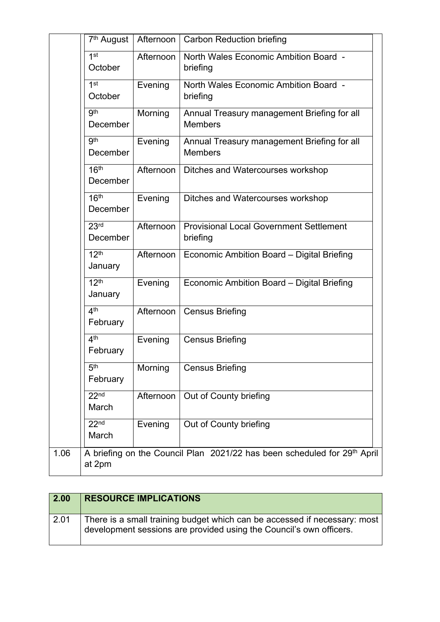|      | 7 <sup>th</sup> August       | Afternoon | <b>Carbon Reduction briefing</b>                                         |
|------|------------------------------|-----------|--------------------------------------------------------------------------|
|      | 1 <sup>st</sup><br>October   | Afternoon | North Wales Economic Ambition Board -<br>briefing                        |
|      | 1 <sup>st</sup><br>October   | Evening   | North Wales Economic Ambition Board -<br>briefing                        |
|      | 9 <sup>th</sup><br>December  | Morning   | Annual Treasury management Briefing for all<br><b>Members</b>            |
|      | 9 <sup>th</sup><br>December  | Evening   | Annual Treasury management Briefing for all<br><b>Members</b>            |
|      | 16 <sup>th</sup><br>December | Afternoon | Ditches and Watercourses workshop                                        |
|      | 16 <sup>th</sup><br>December | Evening   | Ditches and Watercourses workshop                                        |
|      | 23 <sup>rd</sup><br>December | Afternoon | <b>Provisional Local Government Settlement</b><br>briefing               |
|      | 12 <sup>th</sup><br>January  | Afternoon | Economic Ambition Board - Digital Briefing                               |
|      | 12 <sup>th</sup><br>January  | Evening   | Economic Ambition Board - Digital Briefing                               |
|      | 4 <sup>th</sup><br>February  | Afternoon | <b>Census Briefing</b>                                                   |
|      | 4 <sup>th</sup><br>February  | Evening   | <b>Census Briefing</b>                                                   |
|      | 5 <sup>th</sup><br>February  | Morning   | <b>Census Briefing</b>                                                   |
|      | 22 <sub>nd</sub><br>March    | Afternoon | Out of County briefing                                                   |
|      | 22 <sub>nd</sub><br>March    | Evening   | Out of County briefing                                                   |
| 1.06 | at 2pm                       |           | A briefing on the Council Plan 2021/22 has been scheduled for 29th April |

| 2.00 | <b>RESOURCE IMPLICATIONS</b>                                                                                                                     |
|------|--------------------------------------------------------------------------------------------------------------------------------------------------|
| 2.01 | There is a small training budget which can be accessed if necessary: most<br>development sessions are provided using the Council's own officers. |